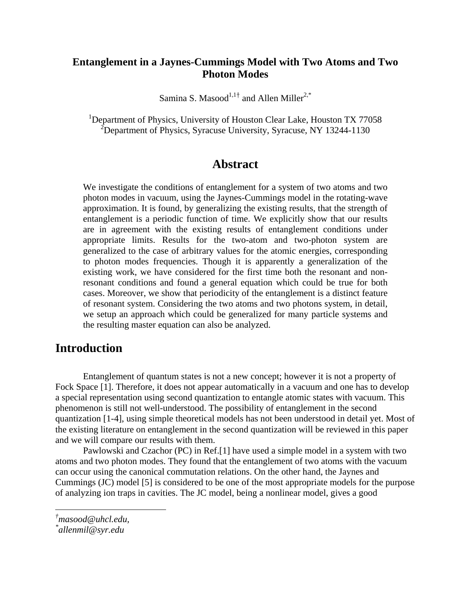## **Entanglement in a Jaynes-Cummings Model with Two Atoms and Two Photon Modes**

Samina S. Masood $^{1,1\dagger}$  and Allen Miller<sup>2,\*</sup>

<sup>1</sup>Department of Physics, University of Houston Clear Lake, Houston TX 77058 <sup>2</sup>Department of Physics, Syracuse University, Syracuse, NY 13244-1130

## **Abstract**

We investigate the conditions of entanglement for a system of two atoms and two photon modes in vacuum, using the Jaynes-Cummings model in the rotating-wave approximation. It is found, by generalizing the existing results, that the strength of entanglement is a periodic function of time. We explicitly show that our results are in agreement with the existing results of entanglement conditions under appropriate limits. Results for the two-atom and two-photon system are generalized to the case of arbitrary values for the atomic energies, corresponding to photon modes frequencies. Though it is apparently a generalization of the existing work, we have considered for the first time both the resonant and nonresonant conditions and found a general equation which could be true for both cases. Moreover, we show that periodicity of the entanglement is a distinct feature of resonant system. Considering the two atoms and two photons system, in detail, we setup an approach which could be generalized for many particle systems and the resulting master equation can also be analyzed.

# **Introduction**

Entanglement of quantum states is not a new concept; however it is not a property of Fock Space [1]. Therefore, it does not appear automatically in a vacuum and one has to develop a special representation using second quantization to entangle atomic states with vacuum. This phenomenon is still not well-understood. The possibility of entanglement in the second quantization [1-4], using simple theoretical models has not been understood in detail yet. Most of the existing literature on entanglement in the second quantization will be reviewed in this paper and we will compare our results with them.

Pawlowski and Czachor (PC) in Ref.[1] have used a simple model in a system with two atoms and two photon modes. They found that the entanglement of two atoms with the vacuum can occur using the canonical commutation relations. On the other hand, the Jaynes and Cummings (JC) model [5] is considered to be one of the most appropriate models for the purpose of analyzing ion traps in cavities. The JC model, being a nonlinear model, gives a good

*<sup>†</sup> masood@uhcl.edu,* 

*<sup>\*</sup> allenmil@syr.edu*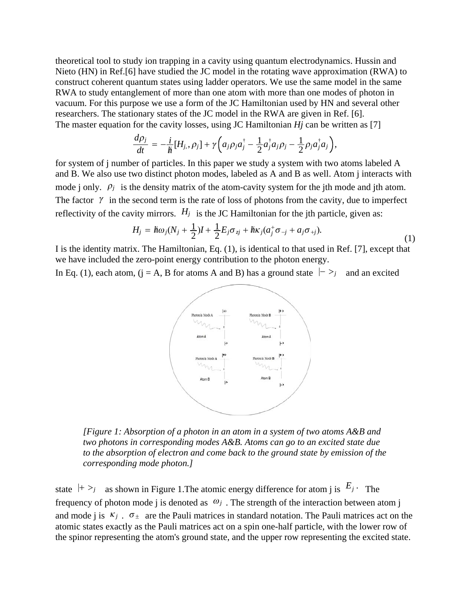theoretical tool to study ion trapping in a cavity using quantum electrodynamics. Hussin and Nieto (HN) in Ref.[6] have studied the JC model in the rotating wave approximation (RWA) to construct coherent quantum states using ladder operators. We use the same model in the same RWA to study entanglement of more than one atom with more than one modes of photon in vacuum. For this purpose we use a form of the JC Hamiltonian used by HN and several other researchers. The stationary states of the JC model in the RWA are given in Ref. [6]. The master equation for the cavity losses, using JC Hamiltonian *Hj* can be written as [7]

$$
\frac{d\rho_j}{dt}=-\frac{i}{\hbar}[H_{j,\cdot}\rho_j]+\gamma\bigg(a_j\rho_ja_j^\dagger-\frac{1}{2}a_j^\dagger a_j\rho_j-\frac{1}{2}\rho_ja_j^\dagger a_j\bigg),
$$

for system of j number of particles. In this paper we study a system with two atoms labeled A and B. We also use two distinct photon modes, labeled as A and B as well. Atom j interacts with mode j only.  $\rho_j$  is the density matrix of the atom-cavity system for the jth mode and jth atom. The factor  $\gamma$  in the second term is the rate of loss of photons from the cavity, due to imperfect reflectivity of the cavity mirrors.  $H_j$  is the JC Hamiltonian for the jth particle, given as:

$$
H_j = \hbar\omega_j (N_j + \frac{1}{2})I + \frac{1}{2}E_j \sigma_{zj} + \hbar\kappa_j (a_j^+ \sigma_{-j} + a_j \sigma_{+j}).
$$
\n(1)

I is the identity matrix. The Hamiltonian, Eq. (1), is identical to that used in Ref. [7], except that we have included the zero-point energy contribution to the photon energy.

In Eq. (1), each atom, ( $j = A$ , B for atoms A and B) has a ground state  $| \rightarrow j |$  and an excited



*[Figure 1: Absorption of a photon in an atom in a system of two atoms A&B and two photons in corresponding modes A&B. Atoms can go to an excited state due to the absorption of electron and come back to the ground state by emission of the corresponding mode photon.]* 

state  $|+|>j$  as shown in Figure 1. The atomic energy difference for atom i is  $E_j$ . The frequency of photon mode j is denoted as  $\omega_j$ . The strength of the interaction between atom j and mode j is  $\kappa_j$ .  $\sigma_{\pm}$  are the Pauli matrices in standard notation. The Pauli matrices act on the atomic states exactly as the Pauli matrices act on a spin one-half particle, with the lower row of the spinor representing the atom's ground state, and the upper row representing the excited state.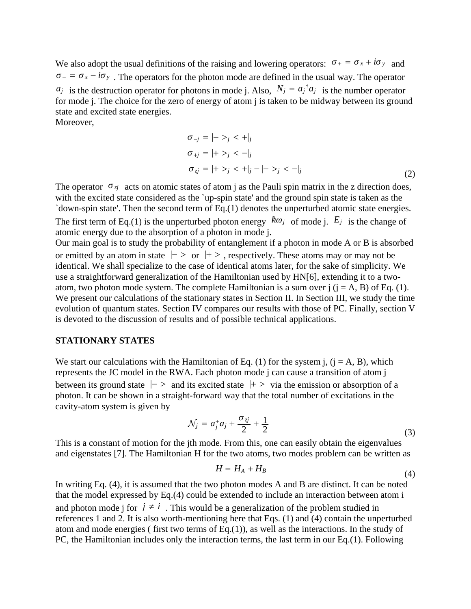We also adopt the usual definitions of the raising and lowering operators:  $\sigma_{+} = \sigma_{x} + i\sigma_{y}$  and  $\sigma_{-} = \sigma_{x} - i\sigma_{y}$ . The operators for the photon mode are defined in the usual way. The operator  $a_j$  is the destruction operator for photons in mode j. Also,  $N_j = a_j^{\dagger} a_j$  is the number operator for mode j. The choice for the zero of energy of atom j is taken to be midway between its ground state and excited state energies.

Moreover,

$$
\sigma_{-j} = |- >_{j} < +|_{j} \n\sigma_{+j} = |+ >_{j} < -|_{j} \n\sigma_{zj} = |+ >_{j} < +|_{j} - |->_{j} < -|_{j} \tag{2}
$$

The operator  $\sigma_{\vec{y}}$  acts on atomic states of atom j as the Pauli spin matrix in the z direction does, with the excited state considered as the 'up-spin state' and the ground spin state is taken as the `down-spin state'. Then the second term of Eq.(1) denotes the unperturbed atomic state energies.

The first term of Eq.(1) is the unperturbed photon energy  $h\omega_j$  of mode j.  $E_j$  is the change of atomic energy due to the absorption of a photon in mode j.

Our main goal is to study the probability of entanglement if a photon in mode A or B is absorbed or emitted by an atom in state  $|->$  or  $|+>$ , respectively. These atoms may or may not be identical. We shall specialize to the case of identical atoms later, for the sake of simplicity. We use a straightforward generalization of the Hamiltonian used by HN[6], extending it to a twoatom, two photon mode system. The complete Hamiltonian is a sum over  $j$  ( $j = A$ , B) of Eq. (1). We present our calculations of the stationary states in Section II. In Section III, we study the time evolution of quantum states. Section IV compares our results with those of PC. Finally, section V is devoted to the discussion of results and of possible technical applications.

## **STATIONARY STATES**

We start our calculations with the Hamiltonian of Eq. (1) for the system j,  $(i = A, B)$ , which represents the JC model in the RWA. Each photon mode j can cause a transition of atom j between its ground state  $\vert - \rangle$  and its excited state  $\vert + \rangle$  via the emission or absorption of a photon. It can be shown in a straight-forward way that the total number of excitations in the cavity-atom system is given by

$$
\mathcal{N}_j = a_j^+ a_j + \frac{\sigma_{zj}}{2} + \frac{1}{2} \tag{3}
$$

This is a constant of motion for the jth mode. From this, one can easily obtain the eigenvalues and eigenstates [7]. The Hamiltonian H for the two atoms, two modes problem can be written as

$$
H = H_A + H_B \tag{4}
$$

In writing Eq. (4), it is assumed that the two photon modes A and B are distinct. It can be noted that the model expressed by Eq.(4) could be extended to include an interaction between atom i and photon mode j for  $j \neq i$ . This would be a generalization of the problem studied in references 1 and 2. It is also worth-mentioning here that Eqs. (1) and (4) contain the unperturbed atom and mode energies ( first two terms of Eq.(1)), as well as the interactions. In the study of PC, the Hamiltonian includes only the interaction terms, the last term in our Eq.(1). Following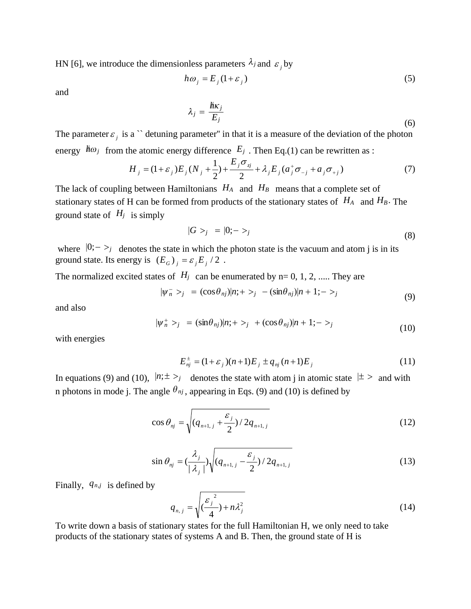HN [6], we introduce the dimensionless parameters  $\lambda_j$  and  $\epsilon_j$  by

$$
h\omega_j = E_j(1 + \varepsilon_j) \tag{5}
$$

and

$$
\lambda_j = \frac{\hbar \kappa_j}{E_j} \tag{6}
$$

The parameter  $\varepsilon_j$  is a  $\infty$  detuning parameter" in that it is a measure of the deviation of the photon energy  $h\omega_j$  from the atomic energy difference  $E_j$ . Then Eq.(1) can be rewritten as :

$$
H_{j} = (1 + \varepsilon_{j})E_{j}(N_{j} + \frac{1}{2}) + \frac{E_{j}\sigma_{ij}}{2} + \lambda_{j}E_{j}(a_{j}^{+}\sigma_{-j} + a_{j}\sigma_{+j})
$$
(7)

The lack of coupling between Hamiltonians  $H_A$  and  $H_B$  means that a complete set of stationary states of H can be formed from products of the stationary states of  $H_A$  and  $H_B$ . The ground state of  $H_j$  is simply

$$
|G \rangle_j = |0;->j \tag{8}
$$

where  $|0;->j$  denotes the state in which the photon state is the vacuum and atom j is in its ground state. Its energy is  $(E_G)$  *j* =  $\varepsilon_j E_j / 2$ .

The normalized excited states of  $H_j$  can be enumerated by n= 0, 1, 2, ..... They are

$$
|\psi_n^- >_j = (\cos \theta_{nj})|n; + \rangle_j - (\sin \theta_{nj})|n+1; - \rangle_j \tag{9}
$$

and also

$$
|\psi_n^+ >_j = (\sin \theta_{nj})|n; +>_j + (\cos \theta_{nj})|n+1; ->_j
$$
\n(10)

with energies

$$
E_{nj}^{\pm} = (1 + \varepsilon_j)(n+1)E_j \pm q_{nj}(n+1)E_j \tag{11}
$$

In equations (9) and (10),  $|n; \pm \rangle$  denotes the state with atom j in atomic state  $| \pm \rangle$  and with n photons in mode j. The angle  $\theta_{nj}$ , appearing in Eqs. (9) and (10) is defined by

$$
\cos \theta_{nj} = \sqrt{(q_{n+1,j} + \frac{\varepsilon_j}{2})/2q_{n+1,j}}
$$
 (12)

$$
\sin \theta_{nj} = \left(\frac{\lambda_j}{|\lambda_j|}\right) \sqrt{\left(q_{n+1,j} - \frac{\varepsilon_j}{2}\right) / 2q_{n+1,j}}
$$
\n(13)

Finally, *qn*,*j* is defined by

$$
q_{n,j} = \sqrt{\left(\frac{\varepsilon_j^2}{4}\right) + n\lambda_j^2} \tag{14}
$$

To write down a basis of stationary states for the full Hamiltonian H, we only need to take products of the stationary states of systems A and B. Then, the ground state of H is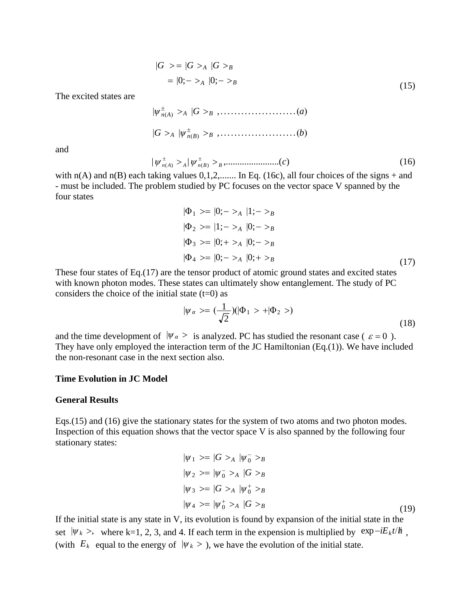$$
|G\rangle = |G\rangle_A |G\rangle_B
$$
  
= |0; - \rangle\_A |0; - \rangle\_B (15)

The excited states are

 *nA <sup>A</sup> G <sup>B</sup>* ,......................*a*  $|G >_A | \psi_{n(B)}^{\pm} >_B , \ldots \ldots \ldots \ldots \ldots (b)$ 

and

| | ,.......................( ) ( ) ( ) *c <sup>n</sup> <sup>A</sup> <sup>A</sup> <sup>n</sup> <sup>B</sup> <sup>B</sup>* (16)

with  $n(A)$  and  $n(B)$  each taking values  $0,1,2,...$  In Eq. (16c), all four choices of the signs + and - must be included. The problem studied by PC focuses on the vector space V spanned by the four states

$$
|\Phi_1 \rangle = |0;->_A |1;->_B |
$$
  
\n
$$
|\Phi_2 \rangle = |1;->_A |0;->_B |
$$
  
\n
$$
|\Phi_3 \rangle = |0;+>_A |0;->_B |
$$
  
\n
$$
|\Phi_4 \rangle = |0;->_A |0;+>_B |
$$
\n(17)

These four states of Eq.(17) are the tensor product of atomic ground states and excited states with known photon modes. These states can ultimately show entanglement. The study of PC considers the choice of the initial state  $(t=0)$  as

$$
|\psi_{\alpha} \rangle = \left(\frac{1}{\sqrt{2}}\right)(|\Phi_1 \rangle + |\Phi_2 \rangle) \tag{18}
$$

and the time development of  $|\psi_{\alpha}\rangle$  is analyzed. PC has studied the resonant case (  $\varepsilon = 0$  ). They have only employed the interaction term of the JC Hamiltonian (Eq.(1)). We have included the non-resonant case in the next section also.

#### **Time Evolution in JC Model**

#### **General Results**

Eqs.(15) and (16) give the stationary states for the system of two atoms and two photon modes. Inspection of this equation shows that the vector space V is also spanned by the following four stationary states:

$$
|\psi_1 \rangle = |G \rangle_A |\psi_0 \rangle_B
$$
  
\n
$$
|\psi_2 \rangle = |\psi_0 \rangle_A |G \rangle_B
$$
  
\n
$$
|\psi_3 \rangle = |G \rangle_A |\psi_0 \rangle_B
$$
  
\n
$$
|\psi_4 \rangle = |\psi_0 \rangle_A |G \rangle_B
$$
  
\n(19)

If the initial state is any state in V, its evolution is found by expansion of the initial state in the set  $|\psi_k\rangle$ , where k=1, 2, 3, and 4. If each term in the expension is multiplied by  $\exp{-iE_k t/\hbar}$ , (with  $E_k$  equal to the energy of  $|\psi_k\rangle$ ), we have the evolution of the initial state.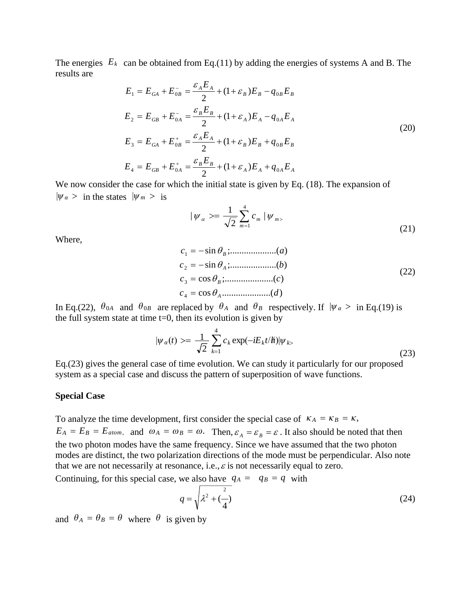The energies  $E_k$  can be obtained from Eq.(11) by adding the energies of systems A and B. The results are

$$
E_1 = E_{GA} + E_{OB}^- = \frac{\varepsilon_A E_A}{2} + (1 + \varepsilon_B) E_B - q_{OB} E_B
$$
  
\n
$$
E_2 = E_{GB} + E_{OA}^- = \frac{\varepsilon_B E_B}{2} + (1 + \varepsilon_A) E_A - q_{OA} E_A
$$
  
\n
$$
E_3 = E_{GA} + E_{OB}^+ = \frac{\varepsilon_A E_A}{2} + (1 + \varepsilon_B) E_B + q_{OB} E_B
$$
  
\n
$$
E_4 = E_{GB} + E_{OA}^+ = \frac{\varepsilon_B E_B}{2} + (1 + \varepsilon_A) E_A + q_{OA} E_A
$$
\n(20)

We now consider the case for which the initial state is given by Eq.  $(18)$ . The expansion of  $|\psi_{\alpha}\rangle$  in the states  $|\psi_{m}\rangle$  is

$$
|\psi_{\alpha}\rangle = \frac{1}{\sqrt{2}} \sum_{m=1}^{4} c_{m} |\psi_{m}\rangle
$$
 (21)

Where,

$$
c_1 = -\sin \theta_B; \dots \dots \dots \dots \dots (a)
$$
  
\n
$$
c_2 = -\sin \theta_A; \dots \dots \dots \dots \dots (b)
$$
  
\n
$$
c_3 = \cos \theta_B; \dots \dots \dots \dots \dots (c)
$$
  
\n
$$
c_4 = \cos \theta_A \dots \dots \dots \dots \dots (d)
$$
  
\n(22)

In Eq.(22),  $\theta_{0A}$  and  $\theta_{0B}$  are replaced by  $\theta_A$  and  $\theta_B$  respectively. If  $|\psi_{\alpha}\rangle$  in Eq.(19) is the full system state at time  $t=0$ , then its evolution is given by

$$
|\psi_{\alpha}(t)\rangle = \frac{1}{\sqrt{2}} \sum_{k=1}^{4} c_k \exp(-iE_k t/\hbar) |\psi_{k}\rangle
$$
\n(23)

Eq.(23) gives the general case of time evolution. We can study it particularly for our proposed system as a special case and discuss the pattern of superposition of wave functions.

#### **Special Case**

To analyze the time development, first consider the special case of  $\kappa_A = \kappa_B = \kappa$ ,  $E_A = E_B = E_{atom}$ , and  $\omega_A = \omega_B = \omega$ . Then,  $\varepsilon_A = \varepsilon_B = \varepsilon$ . It also should be noted that then the two photon modes have the same frequency. Since we have assumed that the two photon modes are distinct, the two polarization directions of the mode must be perpendicular. Also note that we are not necessarily at resonance, i.e.,  $\varepsilon$  is not necessarily equal to zero.

Continuing, for this special case, we also have  $q_A = q_B = q$  with

$$
q = \sqrt{\lambda^2 + \left(\frac{2}{4}\right)}
$$
 (24)

and  $\theta_A = \theta_B = \theta$  where  $\theta$  is given by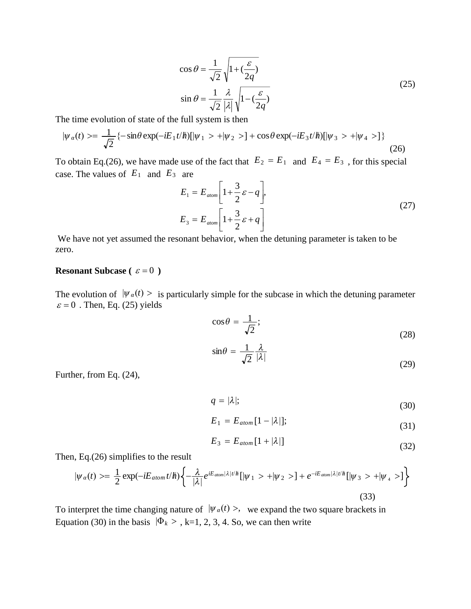$$
\cos \theta = \frac{1}{\sqrt{2}} \sqrt{1 + \left(\frac{\varepsilon}{2q}\right)}
$$
  

$$
\sin \theta = \frac{1}{\sqrt{2}} \frac{\lambda}{|\lambda|} \sqrt{1 - \left(\frac{\varepsilon}{2q}\right)}
$$
 (25)

The time evolution of state of the full system is then

$$
|\psi_{\alpha}(t)\rangle = \frac{1}{\sqrt{2}}\{-\sin\theta\exp(-iE_1t/\hbar)[|\psi_1\rangle + |\psi_2\rangle\} + \cos\theta\exp(-iE_3t/\hbar)[|\psi_3\rangle + |\psi_4\rangle\}
$$
(26)

To obtain Eq.(26), we have made use of the fact that  $E_2 = E_1$  and  $E_4 = E_3$ , for this special case. The values of  $E_1$  and  $E_3$  are

$$
E_1 = E_{atom} \left[ 1 + \frac{3}{2} \varepsilon - q \right],
$$
  
\n
$$
E_3 = E_{atom} \left[ 1 + \frac{3}{2} \varepsilon + q \right]
$$
\n(27)

 We have not yet assumed the resonant behavior, when the detuning parameter is taken to be zero.

### **Resonant Subcase** ( $\varepsilon = 0$ )

The evolution of  $|\psi_{\alpha}(t)\rangle$  is particularly simple for the subcase in which the detuning parameter  $\varepsilon = 0$ . Then, Eq. (25) yields

$$
\cos \theta = \frac{1}{\sqrt{2}};
$$
\n(28)

$$
\sin \theta = \frac{1}{\sqrt{2}} \frac{\lambda}{|\lambda|} \tag{29}
$$

Further, from Eq. (24),

$$
q = |\lambda|; \tag{30}
$$

$$
E_1 = E_{atom}[1 - |\lambda|];\tag{31}
$$

$$
E_3 = E_{atom}[1 + |\lambda|] \tag{32}
$$

Then, Eq.(26) simplifies to the result

$$
|\psi_{\alpha}(t)\rangle = \frac{1}{2}\exp(-iE_{atom}t/\hbar)\left\{-\frac{\lambda}{|\lambda|}e^{iE_{atom}|\lambda|t/\hbar}[\psi_{1}\rangle + |\psi_{2}\rangle] + e^{-iE_{atom}|\lambda|t/\hbar}[\psi_{3}\rangle + |\psi_{4}\rangle]\right\}
$$
(33)

To interpret the time changing nature of  $|\psi_{\alpha}(t)\rangle$ , we expand the two square brackets in Equation (30) in the basis  $|\Phi_k \rangle$ , k=1, 2, 3, 4. So, we can then write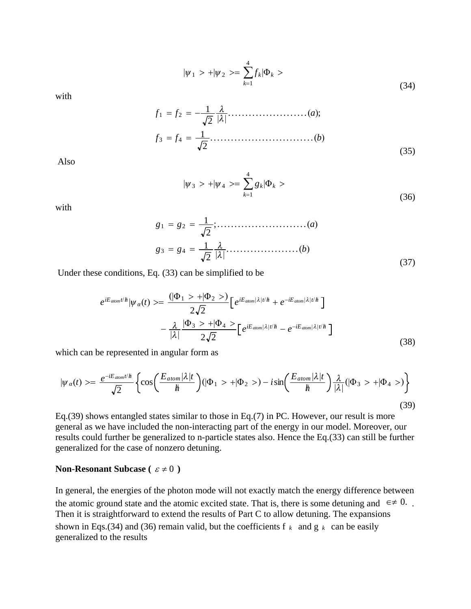$$
|\psi_1 \rangle + |\psi_2 \rangle = \sum_{k=1}^{4} f_k |\Phi_k \rangle \tag{34}
$$

with

*<sup>f</sup>* <sup>1</sup> *<sup>f</sup>* <sup>2</sup> <sup>1</sup> 2 .......................*a*; *<sup>f</sup>* <sup>3</sup> *<sup>f</sup>* <sup>4</sup> <sup>1</sup> 2 ..............................*b* (35)

Also

$$
|\psi_3\rangle + |\psi_4\rangle = \sum_{k=1}^4 g_k |\Phi_k\rangle \tag{36}
$$

with

$$
g_1 = g_2 = \frac{1}{\sqrt{2}}; \dots \dots \dots \dots \dots \dots \dots (a)
$$
  

$$
g_3 = g_4 = \frac{1}{\sqrt{2}} \frac{\lambda}{|\lambda|} \dots \dots \dots \dots \dots \dots (b)
$$
 (37)

Under these conditions, Eq. (33) can be simplified to be

$$
e^{iE_{atom}t/\hbar}|\psi_{\alpha}(t)\rangle = \frac{(|\Phi_1\rangle + |\Phi_2\rangle)}{2\sqrt{2}} \Big[e^{iE_{atom}|\lambda|t/\hbar} + e^{-iE_{atom}|\lambda|t/\hbar}\Big] -\frac{\lambda}{|\lambda|}\frac{|\Phi_3\rangle + |\Phi_4\rangle}{2\sqrt{2}} \Big[e^{iE_{atom}|\lambda|t/\hbar} - e^{-iE_{atom}|\lambda|t/\hbar}\Big]
$$
(38)

which can be represented in angular form as

$$
|\psi_{\alpha}(t)\rangle = \frac{e^{-iE_{atom}t/\hbar}}{\sqrt{2}}\left\{\cos\left(\frac{E_{atom}|\lambda|t}{\hbar}\right)(|\Phi_1\rangle + |\Phi_2\rangle) - i\sin\left(\frac{E_{atom}|\lambda|t}{\hbar}\right)\frac{\lambda}{|\lambda|}(|\Phi_3\rangle + |\Phi_4\rangle)\right\}
$$
(39)

Eq.(39) shows entangled states similar to those in Eq.(7) in PC. However, our result is more general as we have included the non-interacting part of the energy in our model. Moreover, our results could further be generalized to n-particle states also. Hence the Eq.(33) can still be further generalized for the case of nonzero detuning.

### **Non-Resonant Subcase** ( $\varepsilon \neq 0$ )

In general, the energies of the photon mode will not exactly match the energy difference between the atomic ground state and the atomic excited state. That is, there is some detuning and  $\epsilon \neq 0$ . Then it is straightforward to extend the results of Part C to allow detuning. The expansions shown in Eqs.(34) and (36) remain valid, but the coefficients f  $k$  and  $g k$  can be easily generalized to the results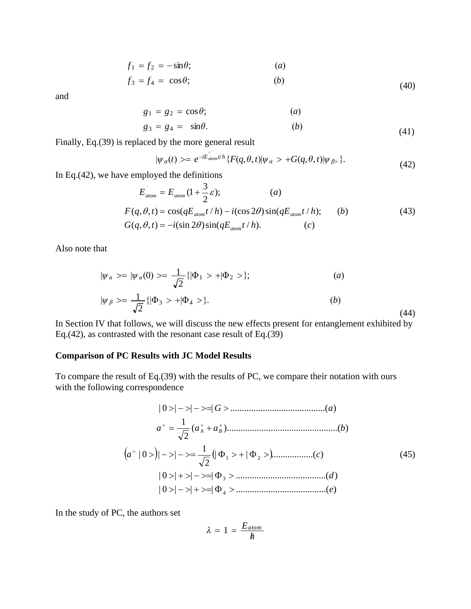$$
f_1 = f_2 = -\sin\theta; \qquad (a)
$$

$$
f_3 = f_4 = \cos \theta; \qquad (b) \tag{40}
$$

and

$$
g_1 = g_2 = \cos \theta; \qquad (a)
$$

$$
g_3 = g_4 = \sin \theta. \tag{41}
$$

Finally, Eq.(39) is replaced by the more general result

$$
|\psi_{\alpha}(t)\rangle = e^{-iE_{\text{atom}}^{t/h}} \{ F(q,\theta,t)|\psi_{\alpha}\rangle + G(q,\theta,t)|\psi_{\beta}\rangle \}. \tag{42}
$$

In Eq.(42), we have employed the definitions

$$
E_{atom} = E_{atom} (1 + \frac{3}{2} \varepsilon); \qquad (a)
$$
  
\n
$$
F(q, \theta, t) = \cos(qE_{atom}t/h) - i(\cos 2\theta)\sin(qE_{atom}t/h); \qquad (b)
$$
  
\n
$$
G(q, \theta, t) = -i(\sin 2\theta)\sin(qE_{atom}t/h). \qquad (c)
$$
\n(43)

Also note that

$$
|\psi_{\alpha}\rangle = |\psi_{\alpha}(0)\rangle = \frac{1}{\sqrt{2}} \{|\Phi_1\rangle + |\Phi_2\rangle\};
$$
\n(a)\n
$$
|\psi_{\beta}\rangle = \frac{1}{\sqrt{2}} \{|\Phi_3\rangle + |\Phi_4\rangle\}.
$$
\n(b)\n
$$
(44)
$$

In Section IV that follows, we will discuss the new effects present for entanglement exhibited by Eq.(42), as contrasted with the resonant case result of Eq.(39)

### **Comparison of PC Results with JC Model Results**

To compare the result of Eq.(39) with the results of PC, we compare their notation with ours with the following correspondence

$$
|0\rangle|-\rangle|-\rangle=|G\rangle
$$
\n
$$
a^{+} = \frac{1}{\sqrt{2}}(a_{A}^{+} + a_{B}^{+})
$$
\n
$$
(a^{+} | 0\rangle)|-\rangle|-\rangle = \frac{1}{\sqrt{2}}(|\Phi_{1}\rangle + |\Phi_{2}\rangle)
$$
\n
$$
|0\rangle|+\rangle|-\rangle=|\Phi_{3}\rangle
$$
\n
$$
|0\rangle|-\rangle|+\rangle=|\Phi_{4}\rangle
$$
\n
$$
(a^{+} | 0\rangle)
$$
\n
$$
|0\rangle|-\rangle|+\rangle=|\Phi_{4}\rangle
$$
\n
$$
(a^{+} | 0\rangle)
$$
\n
$$
|0\rangle|-\rangle|+\rangle=|\Phi_{4}\rangle
$$
\n
$$
(a^{+} | 0\rangle)
$$

In the study of PC, the authors set

$$
\lambda = 1 = \frac{E_{atom}}{h}
$$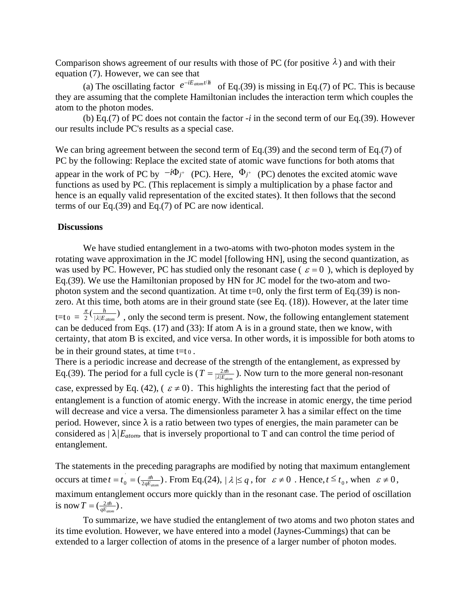Comparison shows agreement of our results with those of PC (for positive  $\lambda$ ) and with their equation (7). However, we can see that

(a) The oscillating factor  $e^{-iE_{atom}t/\hbar}$  of Eq.(39) is missing in Eq.(7) of PC. This is because they are assuming that the complete Hamiltonian includes the interaction term which couples the atom to the photon modes.

(b) Eq.(7) of PC does not contain the factor *-i* in the second term of our Eq.(39). However our results include PC's results as a special case.

We can bring agreement between the second term of Eq.(39) and the second term of Eq.(7) of PC by the following: Replace the excited state of atomic wave functions for both atoms that appear in the work of PC by  $-i\Phi_j$ <sup>+</sup> (PC). Here,  $\Phi_j$ <sup>+</sup> (PC) denotes the excited atomic wave functions as used by PC. (This replacement is simply a multiplication by a phase factor and hence is an equally valid representation of the excited states). It then follows that the second terms of our Eq.(39) and Eq.(7) of PC are now identical.

#### **Discussions**

We have studied entanglement in a two-atoms with two-photon modes system in the rotating wave approximation in the JC model [following HN], using the second quantization, as was used by PC. However, PC has studied only the resonant case ( $\varepsilon = 0$ ), which is deployed by Eq.(39). We use the Hamiltonian proposed by HN for JC model for the two-atom and twophoton system and the second quantization. At time  $t=0$ , only the first term of Eq.(39) is nonzero. At this time, both atoms are in their ground state (see Eq. (18)). However, at the later time  $t=t_0 = \frac{\pi}{2} (\frac{h}{|\lambda|E_{atom}})$ , only the second term is present. Now, the following entanglement statement can be deduced from Eqs. (17) and (33): If atom A is in a ground state, then we know, with certainty, that atom B is excited, and vice versa. In other words, it is impossible for both atoms to be in their ground states, at time  $t=t_0$ .

There is a periodic increase and decrease of the strength of the entanglement, as expressed by Eq.(39). The period for a full cycle is  $(T = \frac{2\pi h}{|\lambda|E_{atom}})$ . Now turn to the more general non-resonant case, expressed by Eq. (42), ( $\varepsilon \neq 0$ ). This highlights the interesting fact that the period of entanglement is a function of atomic energy. With the increase in atomic energy, the time period will decrease and vice a versa. The dimensionless parameter  $\lambda$  has a similar effect on the time period. However, since  $\lambda$  is a ratio between two types of energies, the main parameter can be considered as  $|\lambda|E_{atom}$ , that is inversely proportional to T and can control the time period of entanglement.

The statements in the preceding paragraphs are modified by noting that maximum entanglement occurs at time  $t = t_0 = (\frac{\pi h}{2qE_{atom}})$ . From Eq.(24),  $|\lambda| \le q$ , for  $\varepsilon \ne 0$ . Hence,  $t \le t_0$ , when  $\varepsilon \ne 0$ , maximum entanglement occurs more quickly than in the resonant case. The period of oscillation is now  $T = (\frac{2\pi h}{qE_{atom}})$ .

To summarize, we have studied the entanglement of two atoms and two photon states and its time evolution. However, we have entered into a model (Jaynes-Cummings) that can be extended to a larger collection of atoms in the presence of a larger number of photon modes.